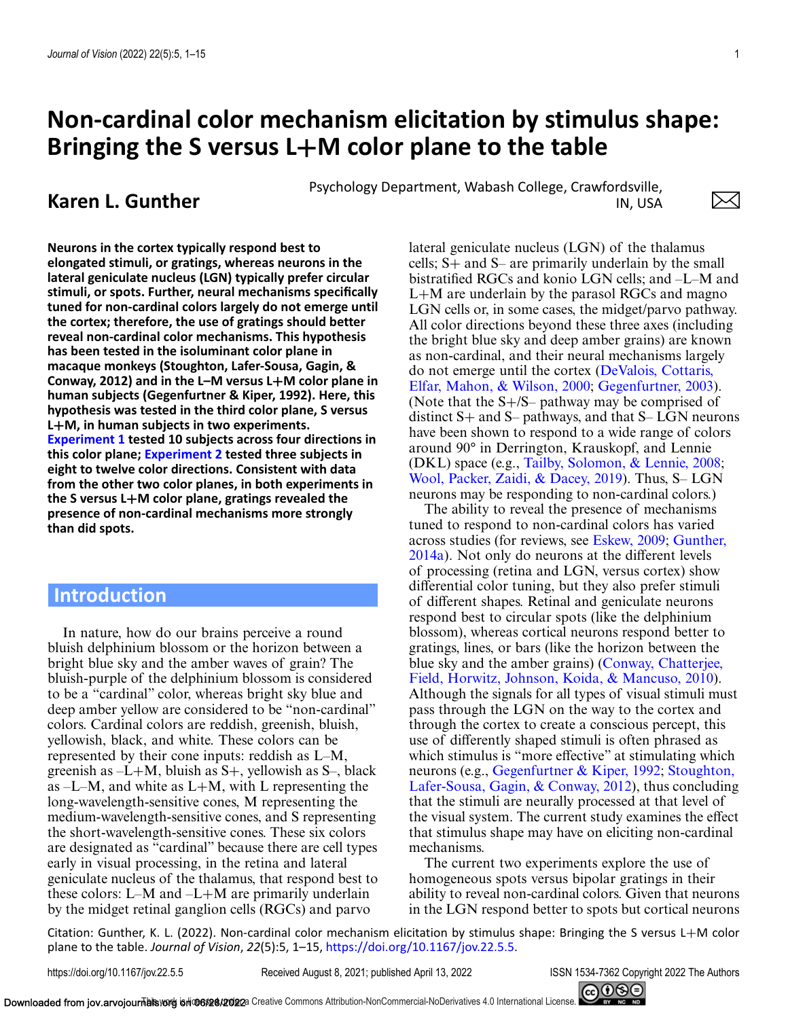# **Non-cardinal color mechanism elicitation by stimulus shape: Bringing the S versus L+M color plane to the table**

**Karen L. Gunther** Psychology Department, Wabash College, Crawfordsville,<br>IN. USA IN, USA

**Neurons in the cortex typically respond best to elongated stimuli, or gratings, whereas neurons in the lateral geniculate nucleus (LGN) typically prefer circular stimuli, or spots. Further, neural mechanisms specifically tuned for non-cardinal colors largely do not emerge until the cortex; therefore, the use of gratings should better reveal non-cardinal color mechanisms. This hypothesis has been tested in the isoluminant color plane in macaque monkeys (Stoughton, Lafer-Sousa, Gagin, & Conway, 2012) and in the L–M versus L+M color plane in human subjects (Gegenfurtner & Kiper, 1992). Here, this hypothesis was tested in the third color plane, S versus L+M, in human subjects in two experiments. [Experiment 1](#page-3-0) tested 10 subjects across four directions in this color plane; [Experiment 2](#page-5-0) tested three subjects in eight to twelve color directions. Consistent with data from the other two color planes, in both experiments in the S versus L+M color plane, gratings revealed the presence of non-cardinal mechanisms more strongly than did spots.**

# **Introduction**

In nature, how do our brains perceive a round bluish delphinium blossom or the horizon between a bright blue sky and the amber waves of grain? The bluish-purple of the delphinium blossom is considered to be a "cardinal" color, whereas bright sky blue and deep amber yellow are considered to be "non-cardinal" colors. Cardinal colors are reddish, greenish, bluish, yellowish, black, and white. These colors can be represented by their cone inputs: reddish as L–M, greenish as  $-L+M$ , bluish as  $S+$ , yellowish as  $S-$ , black as  $-L-M$ , and white as  $L+M$ , with L representing the long-wavelength-sensitive cones, M representing the medium-wavelength-sensitive cones, and S representing the short-wavelength-sensitive cones. These six colors are designated as "cardinal" because there are cell types early in visual processing, in the retina and lateral geniculate nucleus of the thalamus, that respond best to these colors: L–M and –L+M are primarily underlain by the midget retinal ganglion cells (RGCs) and parvo

lateral geniculate nucleus (LGN) of the thalamus cells; S+ and S– are primarily underlain by the small bistratified RGCs and konio LGN cells; and –L–M and  $L+M$  are underlain by the parasol RGCs and magno LGN cells or, in some cases, the midget/parvo pathway. All color directions beyond these three axes (including the bright blue sky and deep amber grains) are known as non-cardinal, and their neural mechanisms largely [do not emerge until the cortex \(DeValois, Cottaris,](#page-9-0) Elfar, Mahon, & Wilson, 2000; [Gegenfurtner, 2003\)](#page-10-0). (Note that the S+/S– pathway may be comprised of distinct  $S+$  and  $S-$  pathways, and that  $S-$  LGN neurons have been shown to respond to a wide range of colors around 90° in Derrington, Krauskopf, and Lennie (DKL) space (e.g., [Tailby, Solomon, & Lennie, 2008;](#page-10-0) [Wool, Packer, Zaidi, & Dacey, 2019\)](#page-11-0). Thus, S– LGN neurons may be responding to non-cardinal colors.)

The ability to reveal the presence of mechanisms tuned to respond to non-cardinal colors has varied across studies (for reviews, see [Eskew, 2009;](#page-9-0) Gunther, [2014a\). Not only do neurons at the different levels](#page-10-0) of processing (retina and LGN, versus cortex) show differential color tuning, but they also prefer stimuli of different shapes. Retinal and geniculate neurons respond best to circular spots (like the delphinium blossom), whereas cortical neurons respond better to gratings, lines, or bars (like the horizon between the [blue sky and the amber grains\) \(Conway, Chatterjee,](#page-9-0) Field, Horwitz, Johnson, Koida, & Mancuso, 2010). Although the signals for all types of visual stimuli must pass through the LGN on the way to the cortex and through the cortex to create a conscious percept, this use of differently shaped stimuli is often phrased as which stimulus is "more effective" at stimulating which neurons (e.g., [Gegenfurtner & Kiper, 1992;](#page-10-0) Stoughton, [Lafer-Sousa, Gagin, & Conway, 2012\), thus concluding](#page-10-0) that the stimuli are neurally processed at that level of the visual system. The current study examines the effect that stimulus shape may have on eliciting non-cardinal mechanisms.

The current two experiments explore the use of homogeneous spots versus bipolar gratings in their ability to reveal non-cardinal colors. Given that neurons in the LGN respond better to spots but cortical neurons

Citation: Gunther, K. L. (2022). Non-cardinal color mechanism elicitation by stimulus shape: Bringing the S versus L+M color plane to the table. *Journal of Vision*, *22*(5):5, 1–15, [https://doi.org/10.1167/jov.22.5.5.](https://doi.org/10.1167/jov.22.5.5)

https://doi.org/10.1167/jov.22.5.5 Received August 8, 2021; published April 13, 2022 ISSN 1534-7362 Copyright 2022 The Authors



 $\bowtie$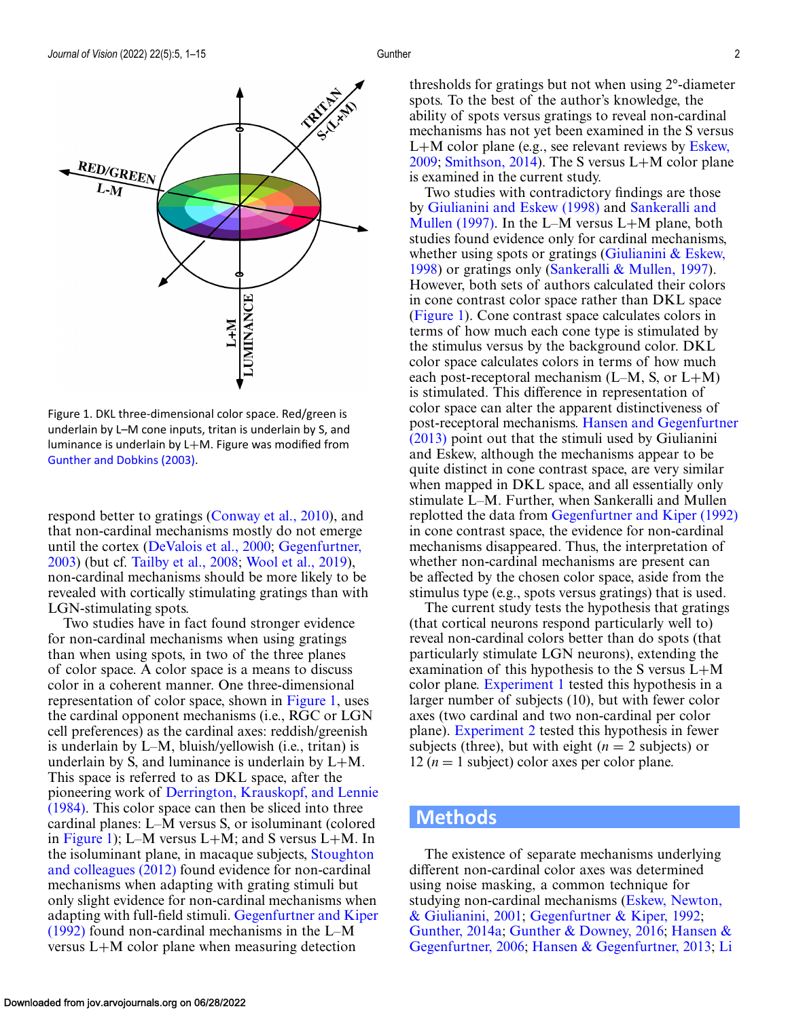<span id="page-1-0"></span>

Figure 1. DKL three-dimensional color space. Red/green is underlain by L–M cone inputs, tritan is underlain by S, and luminance is underlain by L+M. Figure was modified from [Gunther and Dobkins \(2003\).](#page-10-0)

respond better to gratings [\(Conway et al., 2010\)](#page-9-0), and that non-cardinal mechanisms mostly do not emerge [until the cortex \(](#page-10-0)[DeValois et al., 2000](#page-9-0)[;](#page-10-0) Gegenfurtner, 2003) (but cf. [Tailby et al., 2008;](#page-10-0) [Wool et al., 2019\)](#page-11-0), non-cardinal mechanisms should be more likely to be revealed with cortically stimulating gratings than with LGN-stimulating spots.

Two studies have in fact found stronger evidence for non-cardinal mechanisms when using gratings than when using spots, in two of the three planes of color space. A color space is a means to discuss color in a coherent manner. One three-dimensional representation of color space, shown in Figure 1, uses the cardinal opponent mechanisms (i.e., RGC or LGN cell preferences) as the cardinal axes: reddish/greenish is underlain by L–M, bluish/yellowish (i.e., tritan) is underlain by S, and luminance is underlain by  $L+M$ . This space is referred to as DKL space, after the pioneering work of Derrington, Krauskopf, and Lennie [\(1984\). This color space can then be sliced into three](#page-9-0) cardinal planes: L–M versus S, or isoluminant (colored in Figure 1); L–M versus L+M; and S versus L+M. In [the isoluminant plane, in macaque subjects,](#page-10-0) Stoughton and colleagues (2012) found evidence for non-cardinal mechanisms when adapting with grating stimuli but only slight evidence for non-cardinal mechanisms when adapting with full-field stimuli. Gegenfurtner and Kiper (1992) [found non-cardinal mechanisms in the L–M](#page-10-0) versus L+M color plane when measuring detection

thresholds for gratings but not when using 2°-diameter spots. To the best of the author's knowledge, the ability of spots versus gratings to reveal non-cardinal mechanisms has not yet been examined in the S versus L+[M color plane \(e.g., see relevant reviews by](#page-9-0) Eskew, 2009; [Smithson, 2014\)](#page-10-0). The S versus L+M color plane is examined in the current study.

Two studies with contradictory findings are those by [Giulianini and Eskew \(1998\)](#page-10-0) and Sankeralli and [Mullen \(1997\). In the L–M versus L](#page-10-0)+M plane, both studies found evidence only for cardinal mechanisms, whether using spots or gratings (Giulianini  $&$  Eskew, 1998) or gratings only [\(Sankeralli & Mullen, 1997\)](#page-10-0). However, both sets of authors calculated their colors in cone contrast color space rather than DKL space (Figure 1). Cone contrast space calculates colors in terms of how much each cone type is stimulated by the stimulus versus by the background color. DKL color space calculates colors in terms of how much each post-receptoral mechanism  $(L-M, S, \text{or } L+M)$ is stimulated. This difference in representation of color space can alter the apparent distinctiveness of post-receptoral mechanisms. Hansen and Gegenfurtner (2013) [point out that the stimuli used by Giulianini](#page-10-0) and Eskew, although the mechanisms appear to be quite distinct in cone contrast space, are very similar when mapped in DKL space, and all essentially only stimulate L–M. Further, when Sankeralli and Mullen replotted the data from [Gegenfurtner and Kiper \(1992\)](#page-10-0) in cone contrast space, the evidence for non-cardinal mechanisms disappeared. Thus, the interpretation of whether non-cardinal mechanisms are present can be affected by the chosen color space, aside from the stimulus type (e.g., spots versus gratings) that is used.

The current study tests the hypothesis that gratings (that cortical neurons respond particularly well to) reveal non-cardinal colors better than do spots (that particularly stimulate LGN neurons), extending the examination of this hypothesis to the S versus L+M color plane. [Experiment 1](#page-3-0) tested this hypothesis in a larger number of subjects (10), but with fewer color axes (two cardinal and two non-cardinal per color plane). [Experiment 2](#page-5-0) tested this hypothesis in fewer subjects (three), but with eight  $(n = 2$  subjects) or 12 ( $n = 1$  subject) color axes per color plane.

# **Methods**

The existence of separate mechanisms underlying different non-cardinal color axes was determined using noise masking, a common technique for [studying non-cardinal mechanisms \(Eskew, Newton,](#page-9-0) & Giulianini, 2001; [Gegenfurtner & Kiper, 1992;](#page-10-0) [Gunther, 2014a;](#page-10-0) [Gunther & Downey, 2016;](#page-10-0) Hansen & Gegenfurtner, 2006; [Hansen & Gegenfurtner, 2013;](#page-10-0) [Li](#page-10-0)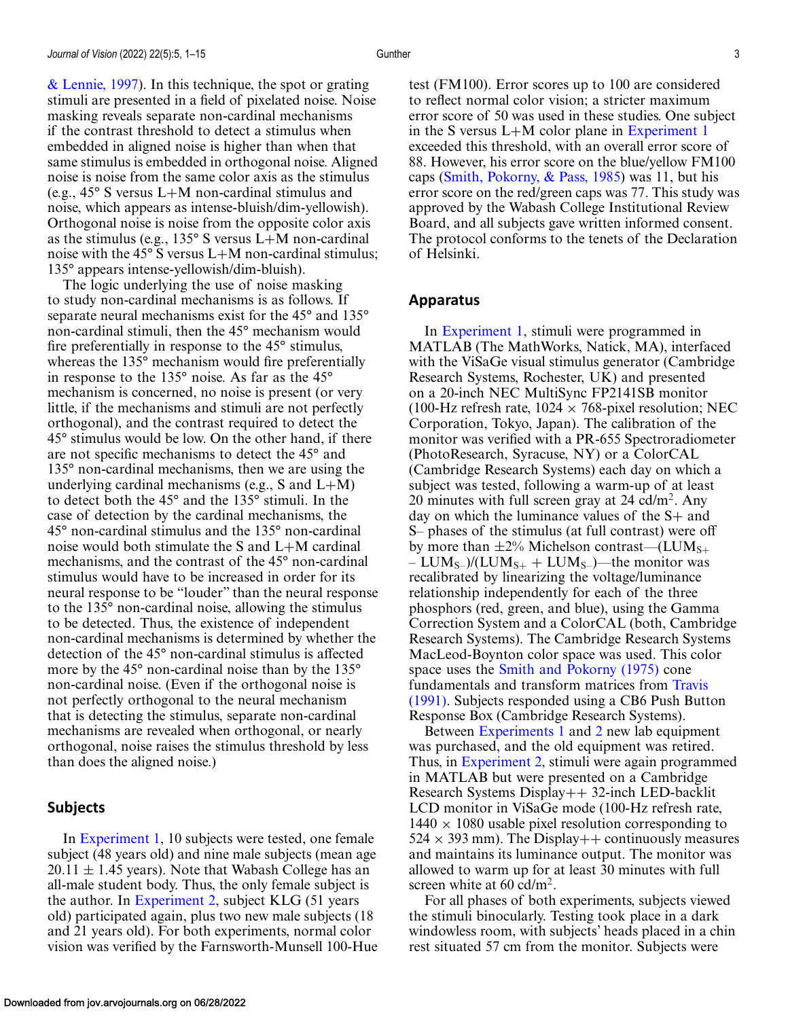[& Lennie, 1997\)](#page-10-0). In this technique, the spot or grating stimuli are presented in a field of pixelated noise. Noise masking reveals separate non-cardinal mechanisms if the contrast threshold to detect a stimulus when embedded in aligned noise is higher than when that same stimulus is embedded in orthogonal noise. Aligned noise is noise from the same color axis as the stimulus (e.g., 45° S versus L+M non-cardinal stimulus and noise, which appears as intense-bluish/dim-yellowish). Orthogonal noise is noise from the opposite color axis as the stimulus (e.g.,  $135^{\circ}$  S versus L+M non-cardinal noise with the 45 $\degree$  S versus L+M non-cardinal stimulus; 135° appears intense-yellowish/dim-bluish).

The logic underlying the use of noise masking to study non-cardinal mechanisms is as follows. If separate neural mechanisms exist for the 45° and 135° non-cardinal stimuli, then the 45° mechanism would fire preferentially in response to the 45° stimulus, whereas the 135° mechanism would fire preferentially in response to the 135° noise. As far as the 45° mechanism is concerned, no noise is present (or very little, if the mechanisms and stimuli are not perfectly orthogonal), and the contrast required to detect the 45° stimulus would be low. On the other hand, if there are not specific mechanisms to detect the 45° and 135° non-cardinal mechanisms, then we are using the underlying cardinal mechanisms (e.g., S and  $L+M$ ) to detect both the 45° and the 135° stimuli. In the case of detection by the cardinal mechanisms, the 45° non-cardinal stimulus and the 135° non-cardinal noise would both stimulate the S and L+M cardinal mechanisms, and the contrast of the 45° non-cardinal stimulus would have to be increased in order for its neural response to be "louder" than the neural response to the 135° non-cardinal noise, allowing the stimulus to be detected. Thus, the existence of independent non-cardinal mechanisms is determined by whether the detection of the 45° non-cardinal stimulus is affected more by the 45° non-cardinal noise than by the 135° non-cardinal noise. (Even if the orthogonal noise is not perfectly orthogonal to the neural mechanism that is detecting the stimulus, separate non-cardinal mechanisms are revealed when orthogonal, or nearly orthogonal, noise raises the stimulus threshold by less than does the aligned noise.)

#### **Subjects**

In [Experiment 1,](#page-3-0) 10 subjects were tested, one female subject (48 years old) and nine male subjects (mean age  $20.11 \pm 1.45$  years). Note that Wabash College has an all-male student body. Thus, the only female subject is the author. In [Experiment 2,](#page-5-0) subject KLG (51 years old) participated again, plus two new male subjects (18 and 21 years old). For both experiments, normal color vision was verified by the Farnsworth-Munsell 100-Hue test (FM100). Error scores up to 100 are considered to reflect normal color vision; a stricter maximum error score of 50 was used in these studies. One subject in the S versus L+M color plane in [Experiment 1](#page-3-0) exceeded this threshold, with an overall error score of 88. However, his error score on the blue/yellow FM100 caps [\(Smith, Pokorny, & Pass, 1985\)](#page-10-0) was 11, but his error score on the red/green caps was 77. This study was approved by the Wabash College Institutional Review Board, and all subjects gave written informed consent. The protocol conforms to the tenets of the Declaration of Helsinki.

#### **Apparatus**

In [Experiment 1,](#page-3-0) stimuli were programmed in MATLAB (The MathWorks, Natick, MA), interfaced with the ViSaGe visual stimulus generator (Cambridge Research Systems, Rochester, UK) and presented on a 20-inch NEC MultiSync FP2141SB monitor (100-Hz refresh rate,  $1024 \times 768$ -pixel resolution; NEC Corporation, Tokyo, Japan). The calibration of the monitor was verified with a PR-655 Spectroradiometer (PhotoResearch, Syracuse, NY) or a ColorCAL (Cambridge Research Systems) each day on which a subject was tested, following a warm-up of at least 20 minutes with full screen gray at  $24$  cd/m<sup>2</sup>. Any day on which the luminance values of the S+ and S– phases of the stimulus (at full contrast) were off by more than  $\pm 2\%$  Michelson contrast—(LUM<sub>S+</sub>  $– LUM<sub>S–</sub>)/(LUM<sub>S+</sub> + LUM<sub>S–</sub>)$ —the monitor was recalibrated by linearizing the voltage/luminance relationship independently for each of the three phosphors (red, green, and blue), using the Gamma Correction System and a ColorCAL (both, Cambridge Research Systems). The Cambridge Research Systems MacLeod-Boynton color space was used. This color space uses the [Smith and Pokorny \(1975\)](#page-10-0) cone fundamentals and transform matrices from Travis [\(1991\). Subjects responded using a CB6 Push Butt](#page-11-0)on Response Box (Cambridge Research Systems).

Between [Experiments 1](#page-3-0) and [2](#page-5-0) new lab equipment was purchased, and the old equipment was retired. Thus, in [Experiment 2,](#page-5-0) stimuli were again programmed in MATLAB but were presented on a Cambridge Research Systems Display++ 32-inch LED-backlit LCD monitor in ViSaGe mode (100-Hz refresh rate,  $1440 \times 1080$  usable pixel resolution corresponding to  $524 \times 393$  mm). The Display + + continuously measures and maintains its luminance output. The monitor was allowed to warm up for at least 30 minutes with full screen white at  $60 \text{ cd/m}^2$ .

For all phases of both experiments, subjects viewed the stimuli binocularly. Testing took place in a dark windowless room, with subjects' heads placed in a chin rest situated 57 cm from the monitor. Subjects were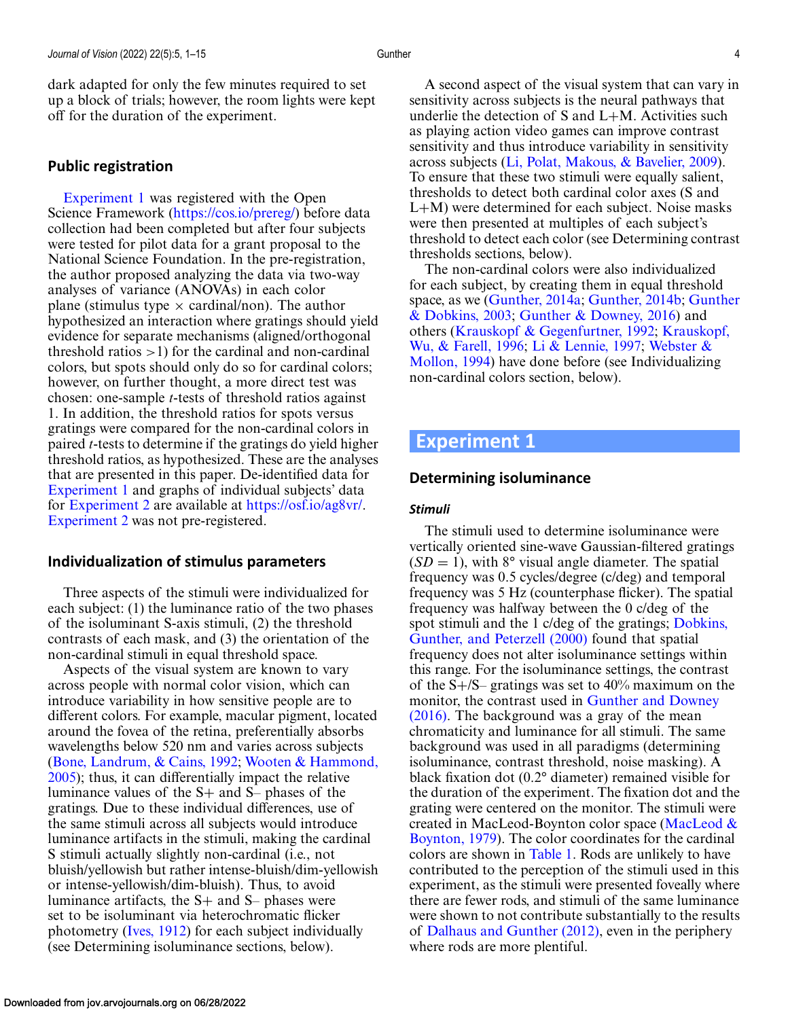<span id="page-3-0"></span>dark adapted for only the few minutes required to set up a block of trials; however, the room lights were kept off for the duration of the experiment.

## **Public registration**

Experiment 1 was registered with the Open Science Framework [\(https://cos.io/prereg/\)](https://cos.io/prereg/) before data collection had been completed but after four subjects were tested for pilot data for a grant proposal to the National Science Foundation. In the pre-registration, the author proposed analyzing the data via two-way analyses of variance (ANOVAs) in each color plane (stimulus type  $\times$  cardinal/non). The author hypothesized an interaction where gratings should yield evidence for separate mechanisms (aligned/orthogonal threshold ratios  $>1$ ) for the cardinal and non-cardinal colors, but spots should only do so for cardinal colors; however, on further thought, a more direct test was chosen: one-sample *t*-tests of threshold ratios against 1. In addition, the threshold ratios for spots versus gratings were compared for the non-cardinal colors in paired *t*-tests to determine if the gratings do yield higher threshold ratios, as hypothesized. These are the analyses that are presented in this paper. De-identified data for Experiment 1 and graphs of individual subjects' data for [Experiment 2](#page-5-0) are available at [https://osf.io/ag8vr/.](https://osf.io/ag8vr/) [Experiment 2](#page-5-0) was not pre-registered.

### **Individualization of stimulus parameters**

Three aspects of the stimuli were individualized for each subject: (1) the luminance ratio of the two phases of the isoluminant S-axis stimuli, (2) the threshold contrasts of each mask, and (3) the orientation of the non-cardinal stimuli in equal threshold space.

Aspects of the visual system are known to vary across people with normal color vision, which can introduce variability in how sensitive people are to different colors. For example, macular pigment, located around the fovea of the retina, preferentially absorbs wavelengths below 520 nm and varies across subjects [\(Bone, Landrum, & Cains, 1992;](#page-9-0) Wooten & Hammond, [2005\); thus, it can differentially impact the relative](#page-11-0) luminance values of the S+ and S– phases of the gratings. Due to these individual differences, use of the same stimuli across all subjects would introduce luminance artifacts in the stimuli, making the cardinal S stimuli actually slightly non-cardinal (i.e., not bluish/yellowish but rather intense-bluish/dim-yellowish or intense-yellowish/dim-bluish). Thus, to avoid luminance artifacts, the S+ and S– phases were set to be isoluminant via heterochromatic flicker photometry [\(Ives, 1912\)](#page-10-0) for each subject individually (see Determining isoluminance sections, below).

A second aspect of the visual system that can vary in sensitivity across subjects is the neural pathways that underlie the detection of  $S$  and  $L+M$ . Activities such as playing action video games can improve contrast sensitivity and thus introduce variability in sensitivity across subjects [\(Li, Polat, Makous, & Bavelier, 2009\)](#page-10-0). To ensure that these two stimuli were equally salient, thresholds to detect both cardinal color axes (S and L+M) were determined for each subject. Noise masks were then presented at multiples of each subject's threshold to detect each color (see Determining contrast thresholds sections, below).

The non-cardinal colors were also individualized for each subject, by creating them in equal threshold space, as we [\(Gunther, 2014a;](#page-10-0) [Gunther, 2014b;](#page-10-0) Gunther & Dobkins, 2003; [Gunther & Downey, 2016\) and](#page-10-0) [others \(Krauskopf & Gegenfurtner, 1992;](#page-10-0) Krauskopf, Wu, & Farell, 1996; [Li & Lennie, 1997;](#page-10-0) Webster & [Mollon, 1994\) have done before \(see Individualizing](#page-11-0) non-cardinal colors section, below).

# **Experiment 1**

## **Determining isoluminance**

#### *Stimuli*

The stimuli used to determine isoluminance were vertically oriented sine-wave Gaussian-filtered gratings  $(SD = 1)$ , with 8° visual angle diameter. The spatial frequency was 0.5 cycles/degree (c/deg) and temporal frequency was 5 Hz (counterphase flicker). The spatial frequency was halfway between the 0 c/deg of the [spot stimuli and the 1 c/deg of the gratings;](#page-9-0) Dobkins, Gunther, and Peterzell (2000) found that spatial frequency does not alter isoluminance settings within this range. For the isoluminance settings, the contrast of the  $S + / S$ – gratings was set to 40% maximum on the monitor, the contrast used in Gunther and Downey [\(2016\). The background was a gray of the mean](#page-10-0) chromaticity and luminance for all stimuli. The same background was used in all paradigms (determining isoluminance, contrast threshold, noise masking). A black fixation dot (0.2° diameter) remained visible for the duration of the experiment. The fixation dot and the grating were centered on the monitor. The stimuli were [created in MacLeod-Boynton color space \(MacLeod &](#page-10-0) Boynton, 1979). The color coordinates for the cardinal colors are shown in [Table 1.](#page-4-0) Rods are unlikely to have contributed to the perception of the stimuli used in this experiment, as the stimuli were presented foveally where there are fewer rods, and stimuli of the same luminance were shown to not contribute substantially to the results of [Dalhaus and Gunther \(2012\),](#page-9-0) even in the periphery where rods are more plentiful.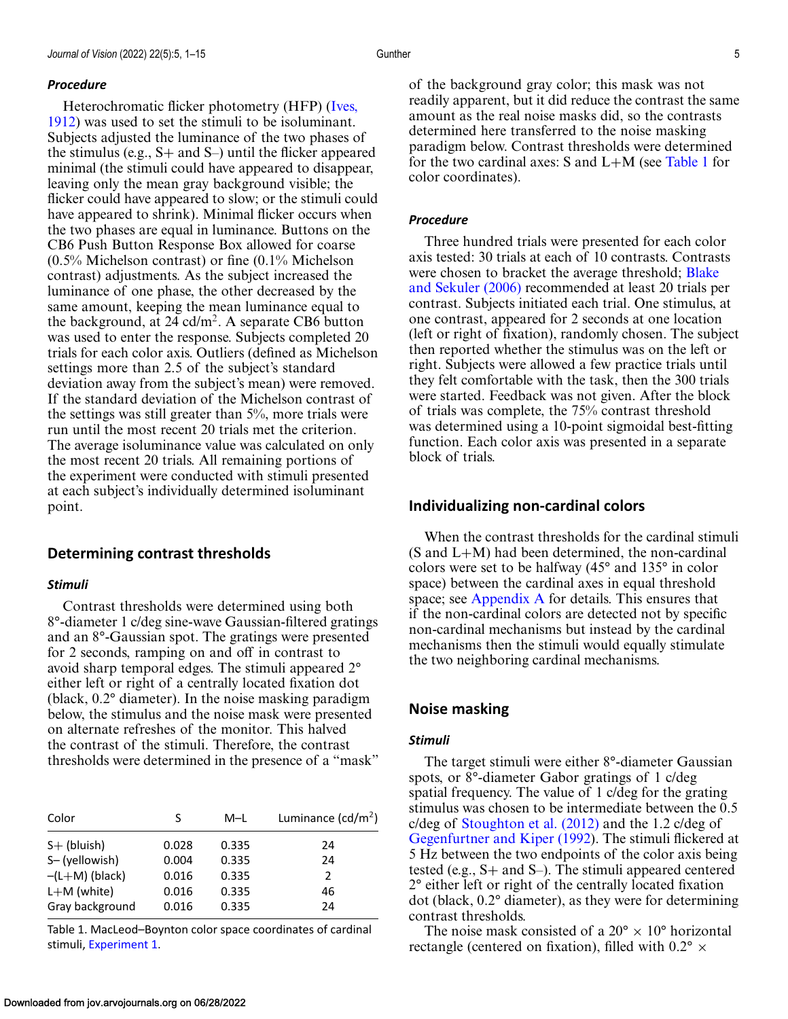#### <span id="page-4-0"></span>*Procedure*

Heterochromatic flicker photometry (HFP) (Ives, [1912\) was used to set the stimuli to be isoluminant.](#page-10-0) Subjects adjusted the luminance of the two phases of the stimulus (e.g.,  $S+$  and  $S-$ ) until the flicker appeared minimal (the stimuli could have appeared to disappear, leaving only the mean gray background visible; the flicker could have appeared to slow; or the stimuli could have appeared to shrink). Minimal flicker occurs when the two phases are equal in luminance. Buttons on the CB6 Push Button Response Box allowed for coarse (0.5% Michelson contrast) or fine (0.1% Michelson contrast) adjustments. As the subject increased the luminance of one phase, the other decreased by the same amount, keeping the mean luminance equal to the background, at 24 cd/m<sup>2</sup>. A separate CB6 button was used to enter the response. Subjects completed 20 trials for each color axis. Outliers (defined as Michelson settings more than 2.5 of the subject's standard deviation away from the subject's mean) were removed. If the standard deviation of the Michelson contrast of the settings was still greater than 5%, more trials were run until the most recent 20 trials met the criterion. The average isoluminance value was calculated on only the most recent 20 trials. All remaining portions of the experiment were conducted with stimuli presented at each subject's individually determined isoluminant point.

#### **Determining contrast thresholds**

#### *Stimuli*

Contrast thresholds were determined using both 8°-diameter 1 c/deg sine-wave Gaussian-filtered gratings and an 8°-Gaussian spot. The gratings were presented for 2 seconds, ramping on and off in contrast to avoid sharp temporal edges. The stimuli appeared 2° either left or right of a centrally located fixation dot (black, 0.2° diameter). In the noise masking paradigm below, the stimulus and the noise mask were presented on alternate refreshes of the monitor. This halved the contrast of the stimuli. Therefore, the contrast thresholds were determined in the presence of a "mask"

| Color            | S     | M-L   | Luminance $(cd/m^2)$ |  |  |
|------------------|-------|-------|----------------------|--|--|
| $S+$ (bluish)    | 0.028 | 0.335 | 24                   |  |  |
| S-(yellowish)    | 0.004 | 0.335 | 24                   |  |  |
| $-(L+M)$ (black) | 0.016 | 0.335 | 2                    |  |  |
| $L+M$ (white)    | 0.016 | 0.335 | 46                   |  |  |
| Gray background  | 0.016 | 0.335 | 24                   |  |  |

Table 1. MacLeod–Boynton color space coordinates of cardinal stimuli, [Experiment 1.](#page-3-0)

of the background gray color; this mask was not readily apparent, but it did reduce the contrast the same amount as the real noise masks did, so the contrasts determined here transferred to the noise masking paradigm below. Contrast thresholds were determined for the two cardinal axes:  $S$  and  $L+M$  (see Table 1 for color coordinates).

#### *Procedure*

Three hundred trials were presented for each color axis tested: 30 trials at each of 10 contrasts. Contrasts [were chosen to bracket the average threshold;](#page-9-0) Blake and Sekuler (2006) recommended at least 20 trials per contrast. Subjects initiated each trial. One stimulus, at one contrast, appeared for 2 seconds at one location (left or right of fixation), randomly chosen. The subject then reported whether the stimulus was on the left or right. Subjects were allowed a few practice trials until they felt comfortable with the task, then the 300 trials were started. Feedback was not given. After the block of trials was complete, the 75% contrast threshold was determined using a 10-point sigmoidal best-fitting function. Each color axis was presented in a separate block of trials.

#### **Individualizing non-cardinal colors**

When the contrast thresholds for the cardinal stimuli (S and L+M) had been determined, the non-cardinal colors were set to be halfway (45° and 135° in color space) between the cardinal axes in equal threshold space; see [Appendix A](#page-11-0) for details. This ensures that if the non-cardinal colors are detected not by specific non-cardinal mechanisms but instead by the cardinal mechanisms then the stimuli would equally stimulate the two neighboring cardinal mechanisms.

#### **Noise masking**

#### *Stimuli*

The target stimuli were either 8°-diameter Gaussian spots, or 8°-diameter Gabor gratings of 1 c/deg spatial frequency. The value of 1 c/deg for the grating stimulus was chosen to be intermediate between the 0.5 c/deg of [Stoughton et al. \(2012\)](#page-10-0) and the 1.2 c/deg of [Gegenfurtner and Kiper \(1992\)](#page-10-0). The stimuli flickered at 5 Hz between the two endpoints of the color axis being tested (e.g., S+ and S–). The stimuli appeared centered 2° either left or right of the centrally located fixation dot (black, 0.2° diameter), as they were for determining contrast thresholds.

The noise mask consisted of a  $20^{\circ} \times 10^{\circ}$  horizontal rectangle (centered on fixation), filled with  $0.2^{\circ} \times$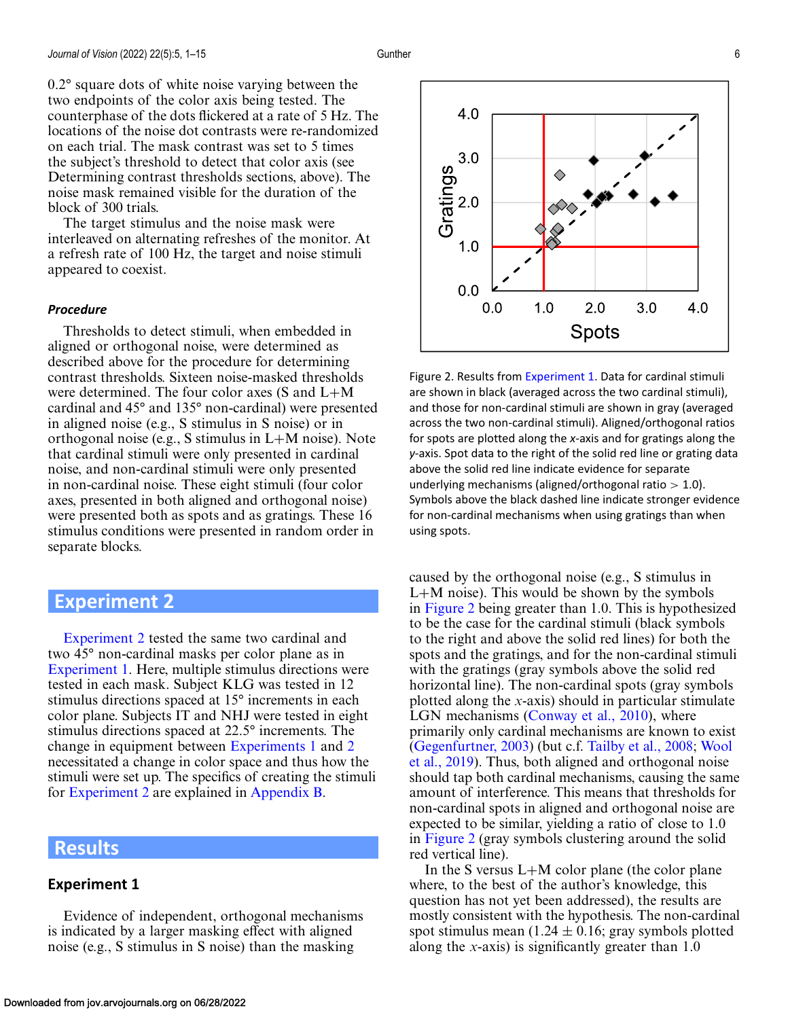<span id="page-5-0"></span>0.2° square dots of white noise varying between the two endpoints of the color axis being tested. The counterphase of the dots flickered at a rate of 5 Hz. The locations of the noise dot contrasts were re-randomized on each trial. The mask contrast was set to 5 times the subject's threshold to detect that color axis (see Determining contrast thresholds sections, above). The noise mask remained visible for the duration of the block of 300 trials.

The target stimulus and the noise mask were interleaved on alternating refreshes of the monitor. At a refresh rate of 100 Hz, the target and noise stimuli appeared to coexist.

#### *Procedure*

Thresholds to detect stimuli, when embedded in aligned or orthogonal noise, were determined as described above for the procedure for determining contrast thresholds. Sixteen noise-masked thresholds were determined. The four color axes (S and L+M cardinal and 45° and 135° non-cardinal) were presented in aligned noise (e.g., S stimulus in S noise) or in orthogonal noise (e.g., S stimulus in L+M noise). Note that cardinal stimuli were only presented in cardinal noise, and non-cardinal stimuli were only presented in non-cardinal noise. These eight stimuli (four color axes, presented in both aligned and orthogonal noise) were presented both as spots and as gratings. These 16 stimulus conditions were presented in random order in separate blocks.

# **Experiment 2**

Experiment 2 tested the same two cardinal and two 45° non-cardinal masks per color plane as in [Experiment 1.](#page-3-0) Here, multiple stimulus directions were tested in each mask. Subject KLG was tested in 12 stimulus directions spaced at 15° increments in each color plane. Subjects IT and NHJ were tested in eight stimulus directions spaced at 22.5° increments. The change in equipment between [Experiments 1](#page-3-0) and 2 necessitated a change in color space and thus how the stimuli were set up. The specifics of creating the stimuli for Experiment 2 are explained in [Appendix B.](#page-11-0)

# **Results**

#### **Experiment 1**

Evidence of independent, orthogonal mechanisms is indicated by a larger masking effect with aligned noise (e.g., S stimulus in S noise) than the masking



Figure 2. Results from [Experiment 1.](#page-3-0) Data for cardinal stimuli are shown in black (averaged across the two cardinal stimuli), and those for non-cardinal stimuli are shown in gray (averaged across the two non-cardinal stimuli). Aligned/orthogonal ratios for spots are plotted along the *x*-axis and for gratings along the *y*-axis. Spot data to the right of the solid red line or grating data above the solid red line indicate evidence for separate underlying mechanisms (aligned/orthogonal ratio  $> 1.0$ ). Symbols above the black dashed line indicate stronger evidence for non-cardinal mechanisms when using gratings than when using spots.

caused by the orthogonal noise (e.g., S stimulus in L+M noise). This would be shown by the symbols in Figure 2 being greater than 1.0. This is hypothesized to be the case for the cardinal stimuli (black symbols to the right and above the solid red lines) for both the spots and the gratings, and for the non-cardinal stimuli with the gratings (gray symbols above the solid red horizontal line). The non-cardinal spots (gray symbols plotted along the *x*-axis) should in particular stimulate LGN mechanisms [\(Conway et al., 2010\)](#page-9-0), where primarily only cardinal mechanisms are known to exist [\(Gegenfurtner, 2003\)](#page-10-0) (but c.f. [Tailby et al., 2008;](#page-10-0) Wool [et al., 2019\). Thus, both aligned and orthogonal noise](#page-11-0) should tap both cardinal mechanisms, causing the same amount of interference. This means that thresholds for non-cardinal spots in aligned and orthogonal noise are expected to be similar, yielding a ratio of close to 1.0 in Figure 2 (gray symbols clustering around the solid red vertical line).

In the S versus  $L+M$  color plane (the color plane where, to the best of the author's knowledge, this question has not yet been addressed), the results are mostly consistent with the hypothesis. The non-cardinal spot stimulus mean  $(1.24 \pm 0.16)$ ; gray symbols plotted along the *x*-axis) is significantly greater than 1.0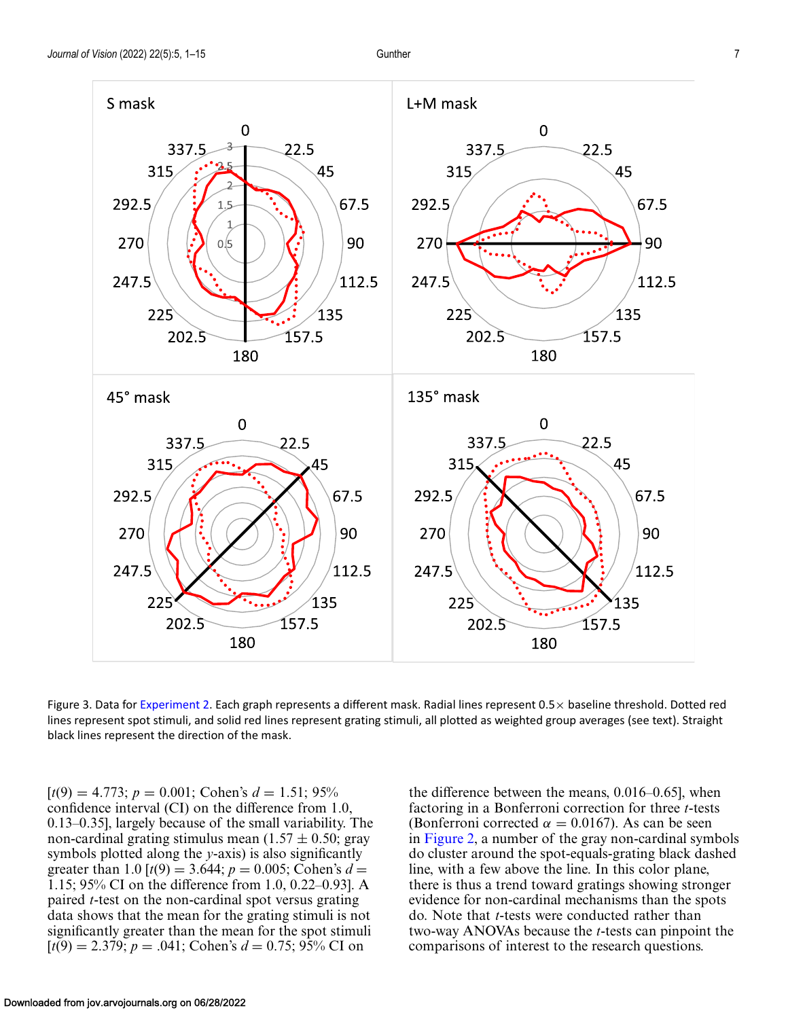<span id="page-6-0"></span>

Figure 3. Data for [Experiment 2.](#page-5-0) Each graph represents a different mask. Radial lines represent  $0.5\times$  baseline threshold. Dotted red lines represent spot stimuli, and solid red lines represent grating stimuli, all plotted as weighted group averages (see text). Straight black lines represent the direction of the mask.

 $[t(9) = 4.773; p = 0.001; \text{ Cohen's } d = 1.51; 95\%$ confidence interval (CI) on the difference from 1.0, 0.13–0.35], largely because of the small variability. The non-cardinal grating stimulus mean  $(1.57 \pm 0.50; \text{gray})$ symbols plotted along the *y*-axis) is also significantly greater than 1.0  $[t(9) = 3.644; p = 0.005; \text{Cohen's } d =$ 1.15; 95% CI on the difference from 1.0, 0.22–0.93]. A paired *t*-test on the non-cardinal spot versus grating data shows that the mean for the grating stimuli is not significantly greater than the mean for the spot stimuli  $[t(9) = 2.379; p = .041; \text{ Cohen's } d = 0.75; 95\% \text{ CI on}$ 

the difference between the means, 0.016–0.65], when factoring in a Bonferroni correction for three *t*-tests (Bonferroni corrected  $\alpha = 0.0167$ ). As can be seen in [Figure 2,](#page-5-0) a number of the gray non-cardinal symbols do cluster around the spot-equals-grating black dashed line, with a few above the line. In this color plane, there is thus a trend toward gratings showing stronger evidence for non-cardinal mechanisms than the spots do. Note that *t*-tests were conducted rather than two-way ANOVAs because the *t*-tests can pinpoint the comparisons of interest to the research questions.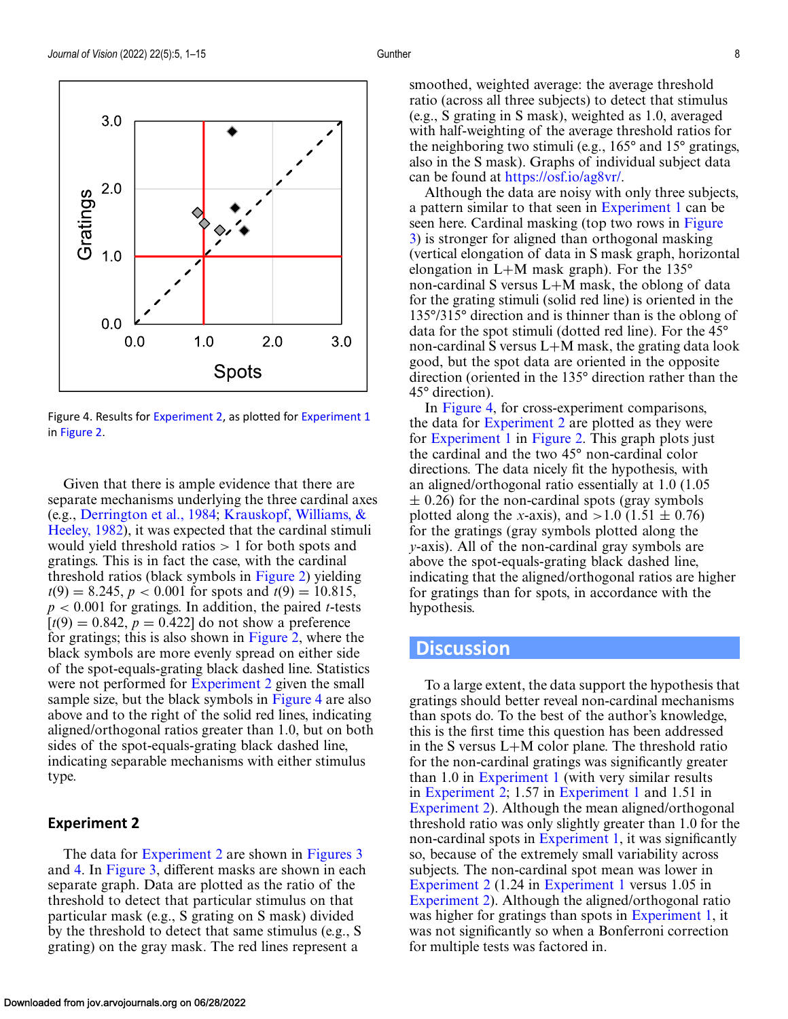

Figure 4. Results for [Experiment 2,](#page-5-0) as plotted for [Experiment 1](#page-3-0) in [Figure 2.](#page-5-0)

Given that there is ample evidence that there are separate mechanisms underlying the three cardinal axes (e.g., [Derrington et al., 1984;](#page-9-0) Krauskopf, Williams, & [Heeley, 1982\), it was expected that the cardinal stimuli](#page-10-0) would yield threshold ratios > 1 for both spots and gratings. This is in fact the case, with the cardinal threshold ratios (black symbols in [Figure 2\)](#page-5-0) yielding  $t(9) = 8.245$ ,  $p < 0.001$  for spots and  $t(9) = 10.815$ , *p* < 0.001 for gratings. In addition, the paired *t*-tests  $[t(9) = 0.842, p = 0.422]$  do not show a preference for gratings; this is also shown in [Figure 2,](#page-5-0) where the black symbols are more evenly spread on either side of the spot-equals-grating black dashed line. Statistics were not performed for [Experiment 2](#page-5-0) given the small sample size, but the black symbols in Figure 4 are also above and to the right of the solid red lines, indicating aligned/orthogonal ratios greater than 1.0, but on both sides of the spot-equals-grating black dashed line, indicating separable mechanisms with either stimulus type.

#### **Experiment 2**

The data for [Experiment 2](#page-5-0) are shown in [Figures 3](#page-6-0) and 4. In [Figure 3,](#page-6-0) different masks are shown in each separate graph. Data are plotted as the ratio of the threshold to detect that particular stimulus on that particular mask (e.g., S grating on S mask) divided by the threshold to detect that same stimulus (e.g., S grating) on the gray mask. The red lines represent a

smoothed, weighted average: the average threshold ratio (across all three subjects) to detect that stimulus (e.g., S grating in S mask), weighted as 1.0, averaged with half-weighting of the average threshold ratios for the neighboring two stimuli (e.g., 165° and 15° gratings, also in the S mask). Graphs of individual subject data can be found at [https://osf.io/ag8vr/.](https://osf.io/ag8vr/)

Although the data are noisy with only three subjects, a pattern similar to that seen in [Experiment 1](#page-3-0) can be seen here. Cardinal masking (top two rows in Figure [3\) is stronger for aligned than orthogonal masking](#page-6-0) (vertical elongation of data in S mask graph, horizontal elongation in L+M mask graph). For the 135° non-cardinal S versus L+M mask, the oblong of data for the grating stimuli (solid red line) is oriented in the 135°/315° direction and is thinner than is the oblong of data for the spot stimuli (dotted red line). For the 45° non-cardinal S versus L+M mask, the grating data look good, but the spot data are oriented in the opposite direction (oriented in the 135° direction rather than the 45° direction).

In Figure 4, for cross-experiment comparisons, the data for [Experiment 2](#page-5-0) are plotted as they were for [Experiment 1](#page-3-0) in [Figure 2.](#page-5-0) This graph plots just the cardinal and the two 45° non-cardinal color directions. The data nicely fit the hypothesis, with an aligned/orthogonal ratio essentially at 1.0 (1.05  $\pm$  0.26) for the non-cardinal spots (gray symbols plotted along the *x*-axis), and  $>1.0$  (1.51  $\pm$  0.76) for the gratings (gray symbols plotted along the *y*-axis). All of the non-cardinal gray symbols are above the spot-equals-grating black dashed line, indicating that the aligned/orthogonal ratios are higher for gratings than for spots, in accordance with the hypothesis.

# **Discussion**

To a large extent, the data support the hypothesis that gratings should better reveal non-cardinal mechanisms than spots do. To the best of the author's knowledge, this is the first time this question has been addressed in the S versus L+M color plane. The threshold ratio for the non-cardinal gratings was significantly greater than 1.0 in [Experiment 1](#page-3-0) (with very similar results in [Experiment 2;](#page-5-0) 1.57 in [Experiment 1](#page-3-0) and 1.51 in [Experiment 2\)](#page-5-0). Although the mean aligned/orthogonal threshold ratio was only slightly greater than 1.0 for the non-cardinal spots in [Experiment 1,](#page-3-0) it was significantly so, because of the extremely small variability across subjects. The non-cardinal spot mean was lower in [Experiment 2](#page-5-0) (1.24 in [Experiment 1](#page-3-0) versus 1.05 in [Experiment 2\)](#page-5-0). Although the aligned/orthogonal ratio was higher for gratings than spots in [Experiment 1,](#page-3-0) it was not significantly so when a Bonferroni correction for multiple tests was factored in.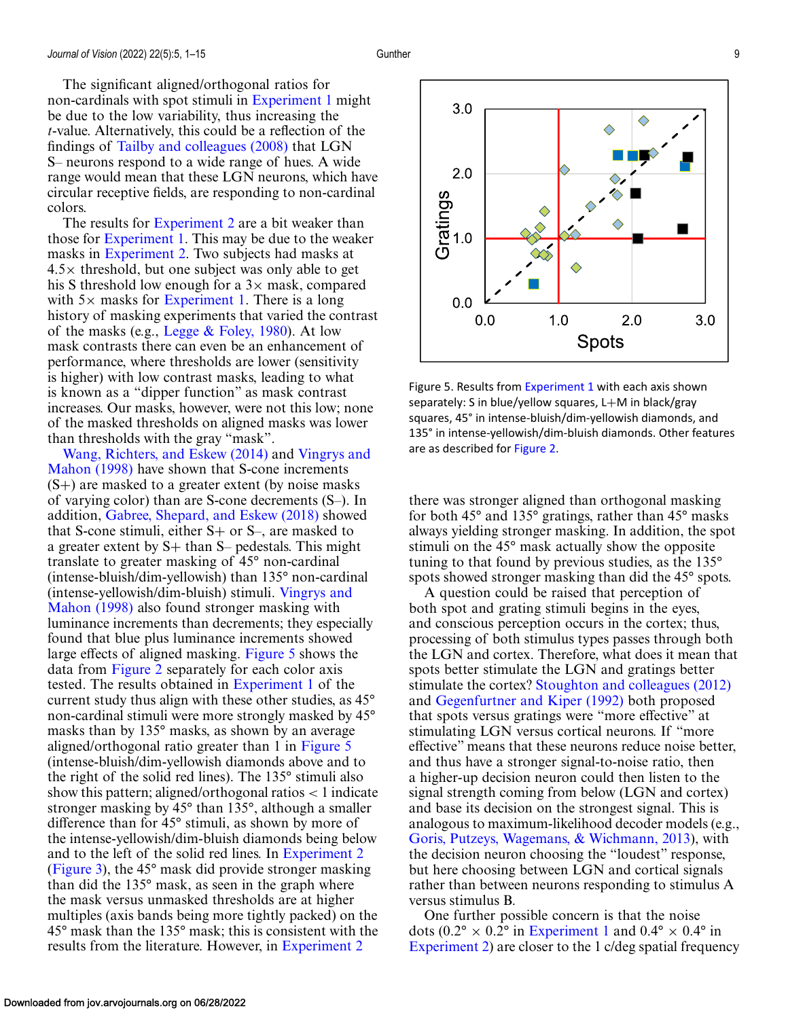The significant aligned/orthogonal ratios for non-cardinals with spot stimuli in [Experiment 1](#page-3-0) might be due to the low variability, thus increasing the *t*-value. Alternatively, this could be a reflection of the findings of [Tailby and colleagues \(2008\)](#page-10-0) that LGN S– neurons respond to a wide range of hues. A wide range would mean that these LGN neurons, which have circular receptive fields, are responding to non-cardinal colors.

The results for [Experiment 2](#page-5-0) are a bit weaker than those for [Experiment 1.](#page-3-0) This may be due to the weaker masks in [Experiment 2.](#page-5-0) Two subjects had masks at  $4.5\times$  threshold, but one subject was only able to get his S threshold low enough for a  $3\times$  mask, compared with  $5\times$  masks for [Experiment 1.](#page-3-0) There is a long history of masking experiments that varied the contrast of the masks (e.g., Legge  $& \text{Foley}, 1980$ ). At low mask contrasts there can even be an enhancement of performance, where thresholds are lower (sensitivity is higher) with low contrast masks, leading to what is known as a "dipper function" as mask contrast increases. Our masks, however, were not this low; none of the masked thresholds on aligned masks was lower than thresholds with the gray "mask".

[Wang, Richters, and Eskew \(2014\)](#page-11-0) and Vingrys and Mahon (1998) [have shown that S-cone increments](#page-11-0)  $(S+)$  are masked to a greater extent (by noise masks) of varying color) than are S-cone decrements (S–). In addition, [Gabree, Shepard, and Eskew \(2018\)](#page-9-0) showed that S-cone stimuli, either  $S+$  or  $S-$ , are masked to a greater extent by  $S+$  than  $S-$  pedestals. This might translate to greater masking of 45° non-cardinal (intense-bluish/dim-yellowish) than 135° non-cardinal [\(intense-yellowish/dim-bluish\) stimuli.](#page-11-0) Vingrys and Mahon (1998) also found stronger masking with luminance increments than decrements; they especially found that blue plus luminance increments showed large effects of aligned masking. Figure 5 shows the data from [Figure 2](#page-5-0) separately for each color axis tested. The results obtained in [Experiment 1](#page-3-0) of the current study thus align with these other studies, as 45° non-cardinal stimuli were more strongly masked by 45° masks than by 135° masks, as shown by an average aligned/orthogonal ratio greater than 1 in Figure 5 (intense-bluish/dim-yellowish diamonds above and to the right of the solid red lines). The 135° stimuli also show this pattern; aligned/orthogonal ratios  $\lt$  1 indicate stronger masking by 45° than 135°, although a smaller difference than for 45° stimuli, as shown by more of the intense-yellowish/dim-bluish diamonds being below and to the left of the solid red lines. In [Experiment 2](#page-5-0) [\(Figure 3\)](#page-6-0), the 45° mask did provide stronger masking than did the 135° mask, as seen in the graph where the mask versus unmasked thresholds are at higher multiples (axis bands being more tightly packed) on the 45° mask than the 135° mask; this is consistent with the results from the literature. However, in [Experiment 2](#page-5-0)



Figure 5. Results from [Experiment 1](#page-3-0) with each axis shown separately: S in blue/yellow squares, L+M in black/gray squares, 45° in intense-bluish/dim-yellowish diamonds, and 135° in intense-yellowish/dim-bluish diamonds. Other features are as described for [Figure 2.](#page-5-0)

there was stronger aligned than orthogonal masking for both 45° and 135° gratings, rather than 45° masks always yielding stronger masking. In addition, the spot stimuli on the 45° mask actually show the opposite tuning to that found by previous studies, as the 135° spots showed stronger masking than did the 45° spots.

A question could be raised that perception of both spot and grating stimuli begins in the eyes, and conscious perception occurs in the cortex; thus, processing of both stimulus types passes through both the LGN and cortex. Therefore, what does it mean that spots better stimulate the LGN and gratings better stimulate the cortex? [Stoughton and colleagues \(2012\)](#page-10-0) and [Gegenfurtner and Kiper \(1992\)](#page-10-0) both proposed that spots versus gratings were "more effective" at stimulating LGN versus cortical neurons. If "more effective" means that these neurons reduce noise better, and thus have a stronger signal-to-noise ratio, then a higher-up decision neuron could then listen to the signal strength coming from below (LGN and cortex) and base its decision on the strongest signal. This is analogous to maximum-likelihood decoder models (e.g., [Goris, Putzeys, Wagemans, & Wichmann, 2013\)](#page-10-0), with the decision neuron choosing the "loudest" response, but here choosing between LGN and cortical signals rather than between neurons responding to stimulus A versus stimulus B.

One further possible concern is that the noise dots (0.2° × 0.2° in [Experiment 1](#page-3-0) and 0.4° × 0.4° in [Experiment 2\)](#page-5-0) are closer to the 1 c/deg spatial frequency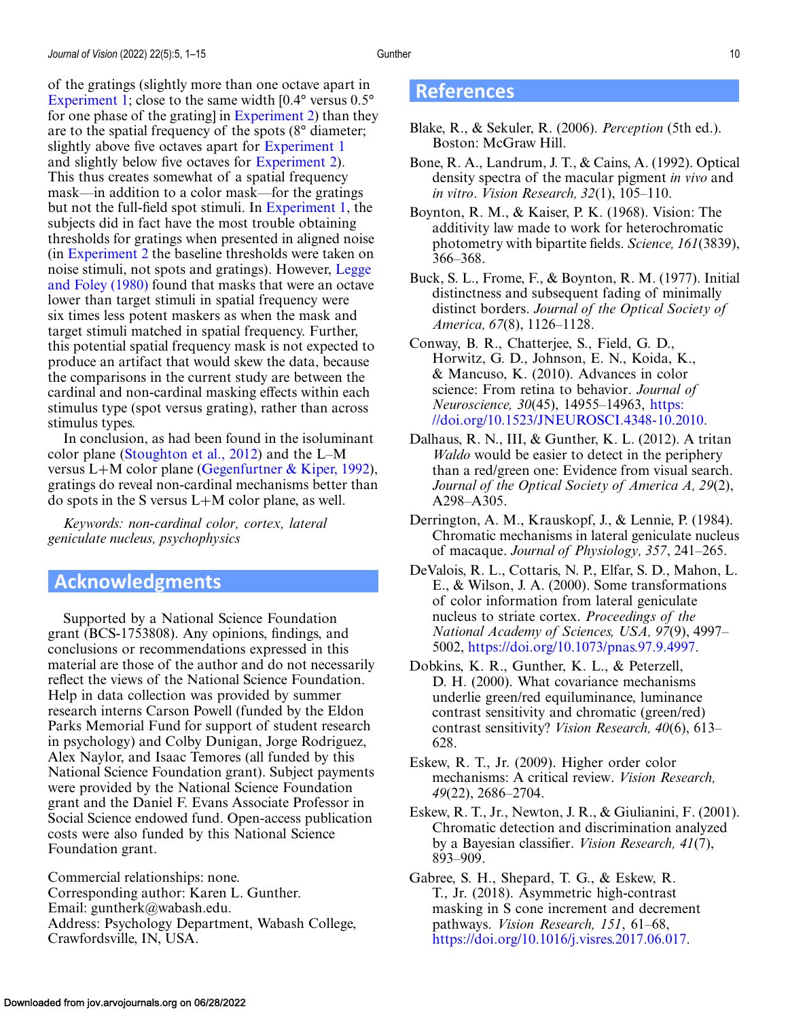<span id="page-9-0"></span>of the gratings (slightly more than one octave apart in [Experiment 1;](#page-3-0) close to the same width  $[0.4^{\circ}$  versus  $0.5^{\circ}$ for one phase of the grating] in [Experiment 2\)](#page-5-0) than they are to the spatial frequency of the spots (8° diameter; slightly above five octaves apart for [Experiment 1](#page-3-0) and slightly below five octaves for [Experiment 2\)](#page-5-0). This thus creates somewhat of a spatial frequency mask—in addition to a color mask—for the gratings but not the full-field spot stimuli. In [Experiment 1,](#page-3-0) the subjects did in fact have the most trouble obtaining thresholds for gratings when presented in aligned noise (in [Experiment 2](#page-5-0) the baseline thresholds were taken on [noise stimuli, not spots and gratings\). However,](#page-10-0) Legge and Foley (1980) found that masks that were an octave lower than target stimuli in spatial frequency were six times less potent maskers as when the mask and target stimuli matched in spatial frequency. Further, this potential spatial frequency mask is not expected to produce an artifact that would skew the data, because the comparisons in the current study are between the cardinal and non-cardinal masking effects within each stimulus type (spot versus grating), rather than across stimulus types.

In conclusion, as had been found in the isoluminant color plane [\(Stoughton et al., 2012\)](#page-10-0) and the L–M versus L+M color plane (Gegenfurtner  $\&$  Kiper, 1992), gratings do reveal non-cardinal mechanisms better than do spots in the S versus L+M color plane, as well.

*Keywords: non-cardinal color, cortex, lateral geniculate nucleus, psychophysics*

# **Acknowledgments**

Supported by a National Science Foundation grant (BCS-1753808). Any opinions, findings, and conclusions or recommendations expressed in this material are those of the author and do not necessarily reflect the views of the National Science Foundation. Help in data collection was provided by summer research interns Carson Powell (funded by the Eldon Parks Memorial Fund for support of student research in psychology) and Colby Dunigan, Jorge Rodriguez, Alex Naylor, and Isaac Temores (all funded by this National Science Foundation grant). Subject payments were provided by the National Science Foundation grant and the Daniel F. Evans Associate Professor in Social Science endowed fund. Open-access publication costs were also funded by this National Science Foundation grant.

Commercial relationships: none. Corresponding author: Karen L. Gunther. Email: guntherk@wabash.edu. Address: Psychology Department, Wabash College, Crawfordsville, IN, USA.

# **References**

- Blake, R., & Sekuler, R. (2006). *Perception* (5th ed.). Boston: McGraw Hill.
- Bone, R. A., Landrum, J. T., & Cains, A. (1992). Optical density spectra of the macular pigment *in vivo* and *in vitro*. *Vision Research, 32*(1), 105–110.
- Boynton, R. M., & Kaiser, P. K. (1968). Vision: The additivity law made to work for heterochromatic photometry with bipartite fields. *Science, 161*(3839), 366–368.
- Buck, S. L., Frome, F., & Boynton, R. M. (1977). Initial distinctness and subsequent fading of minimally distinct borders. *Journal of the Optical Society of America, 67*(8), 1126–1128.
- Conway, B. R., Chatterjee, S., Field, G. D., Horwitz, G. D., Johnson, E. N., Koida, K., & Mancuso, K. (2010). Advances in color science: From retina to behavior. *Journal of Neuroscience, 30*(45), 14955–14963, https: [//doi.org/10.1523/JNEUROSCI.4348-10.2010.](https://doi.org/10.1523/JNEUROSCI.4348-10.2010)
- Dalhaus, R. N., III, & Gunther, K. L. (2012). A tritan *Waldo* would be easier to detect in the periphery than a red/green one: Evidence from visual search. *Journal of the Optical Society of America A, 29*(2), A298–A305.
- Derrington, A. M., Krauskopf, J., & Lennie, P. (1984). Chromatic mechanisms in lateral geniculate nucleus of macaque. *Journal of Physiology, 357*, 241–265.
- DeValois, R. L., Cottaris, N. P., Elfar, S. D., Mahon, L. E., & Wilson, J. A. (2000). Some transformations of color information from lateral geniculate nucleus to striate cortex. *Proceedings of the National Academy of Sciences, USA, 97*(9), 4997– 5002, [https://doi.org/10.1073/pnas.97.9.4997.](https://doi.org/10.1073/pnas.97.9.4997)
- Dobkins, K. R., Gunther, K. L., & Peterzell, D. H. (2000). What covariance mechanisms underlie green/red equiluminance, luminance contrast sensitivity and chromatic (green/red) contrast sensitivity? *Vision Research, 40*(6), 613– 628.
- Eskew, R. T., Jr. (2009). Higher order color mechanisms: A critical review. *Vision Research, 49*(22), 2686–2704.
- Eskew, R. T., Jr., Newton, J. R., & Giulianini, F. (2001). Chromatic detection and discrimination analyzed by a Bayesian classifier. *Vision Research, 41*(7), 893–909.

Gabree, S. H., Shepard, T. G., & Eskew, R. T., Jr. (2018). Asymmetric high-contrast masking in S cone increment and decrement pathways. *Vision Research, 151*, 61–68, [https://doi.org/10.1016/j.visres.2017.06.017.](https://doi.org/10.1016/j.visres.2017.06.017)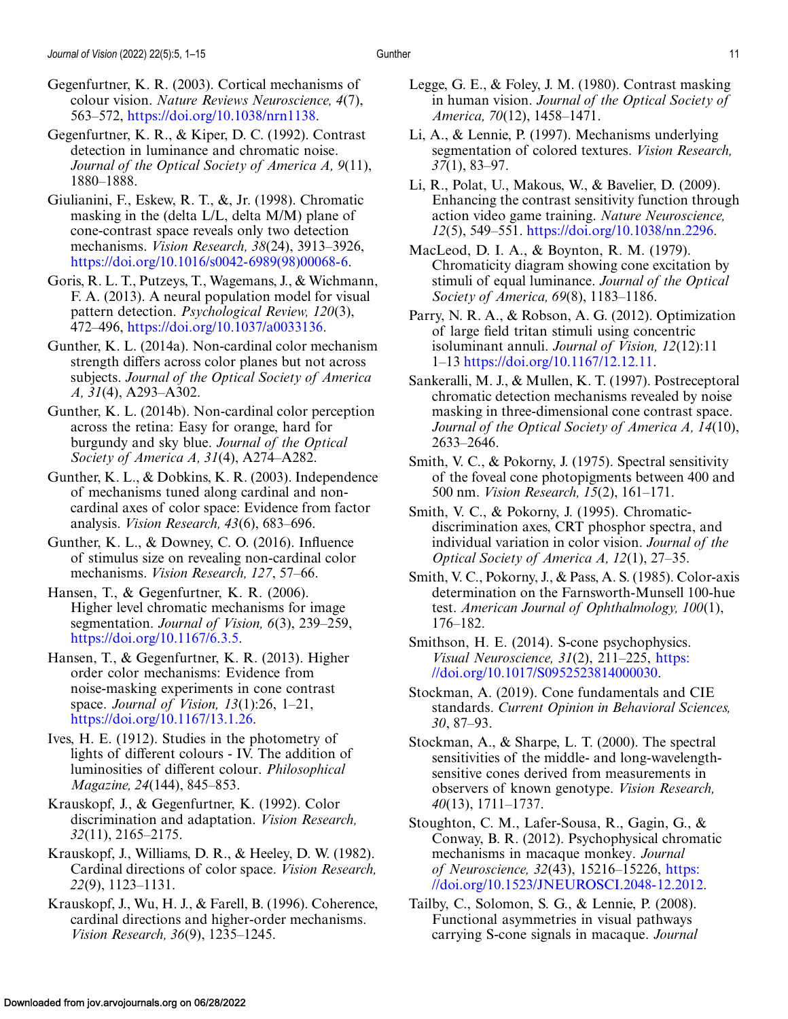<span id="page-10-0"></span>Gegenfurtner, K. R., & Kiper, D. C. (1992). Contrast detection in luminance and chromatic noise. *Journal of the Optical Society of America A, 9*(11), 1880–1888.

- Giulianini, F., Eskew, R. T., &, Jr. (1998). Chromatic masking in the (delta L/L, delta M/M) plane of cone-contrast space reveals only two detection mechanisms. *Vision Research, 38*(24), 3913–3926, [https://doi.org/10.1016/s0042-6989\(98\)00068-6.](https://doi.org/10.1016/s0042-6989(98)00068-6)
- Goris, R. L. T., Putzeys, T., Wagemans, J., & Wichmann, F. A. (2013). A neural population model for visual pattern detection. *Psychological Review, 120*(3), 472–496, [https://doi.org/10.1037/a0033136.](https://doi.org/10.1037/a0033136)
- Gunther, K. L. (2014a). Non-cardinal color mechanism strength differs across color planes but not across subjects. *Journal of the Optical Society of America A, 31*(4), A293–A302.
- Gunther, K. L. (2014b). Non-cardinal color perception across the retina: Easy for orange, hard for burgundy and sky blue. *Journal of the Optical Society of America A, 31*(4), A274–A282.
- Gunther, K. L., & Dobkins, K. R. (2003). Independence of mechanisms tuned along cardinal and noncardinal axes of color space: Evidence from factor analysis. *Vision Research, 43*(6), 683–696.
- Gunther, K. L., & Downey, C. O. (2016). Influence of stimulus size on revealing non-cardinal color mechanisms. *Vision Research, 127*, 57–66.
- Hansen, T., & Gegenfurtner, K. R. (2006). Higher level chromatic mechanisms for image segmentation. *Journal of Vision, 6*(3), 239–259, [https://doi.org/10.1167/6.3.5.](https://doi.org/10.1167/6.3.5)
- Hansen, T., & Gegenfurtner, K. R. (2013). Higher order color mechanisms: Evidence from noise-masking experiments in cone contrast space. *Journal of Vision, 13*(1):26, 1–21, [https://doi.org/10.1167/13.1.26.](https://doi.org/10.1167/13.1.26)
- Ives, H. E. (1912). Studies in the photometry of lights of different colours - IV. The addition of luminosities of different colour. *Philosophical Magazine, 24*(144), 845–853.
- Krauskopf, J., & Gegenfurtner, K. (1992). Color discrimination and adaptation. *Vision Research, 32*(11), 2165–2175.
- Krauskopf, J., Williams, D. R., & Heeley, D. W. (1982). Cardinal directions of color space. *Vision Research, 22*(9), 1123–1131.
- Krauskopf, J., Wu, H. J., & Farell, B. (1996). Coherence, cardinal directions and higher-order mechanisms. *Vision Research, 36*(9), 1235–1245.
- Legge, G. E., & Foley, J. M. (1980). Contrast masking in human vision. *Journal of the Optical Society of America, 70*(12), 1458–1471.
- Li, A., & Lennie, P. (1997). Mechanisms underlying segmentation of colored textures. *Vision Research, 37*(1), 83–97.
- Li, R., Polat, U., Makous, W., & Bavelier, D. (2009). Enhancing the contrast sensitivity function through action video game training. *Nature Neuroscience, 12*(5), 549–551. [https://doi.org/10.1038/nn.2296.](https://doi.org/10.1038/nn.2296)
- MacLeod, D. I. A., & Boynton, R. M. (1979). Chromaticity diagram showing cone excitation by stimuli of equal luminance. *Journal of the Optical Society of America, 69*(8), 1183–1186.
- Parry, N. R. A., & Robson, A. G. (2012). Optimization of large field tritan stimuli using concentric isoluminant annuli. *Journal of Vision, 12*(12):11 1–13 [https://doi.org/10.1167/12.12.11.](https://doi.org/10.1167/12.12.11)
- Sankeralli, M. J., & Mullen, K. T. (1997). Postreceptoral chromatic detection mechanisms revealed by noise masking in three-dimensional cone contrast space. *Journal of the Optical Society of America A, 14*(10), 2633–2646.
- Smith, V. C., & Pokorny, J. (1975). Spectral sensitivity of the foveal cone photopigments between 400 and 500 nm. *Vision Research, 15*(2), 161–171.
- Smith, V. C., & Pokorny, J. (1995). Chromaticdiscrimination axes, CRT phosphor spectra, and individual variation in color vision. *Journal of the Optical Society of America A, 12*(1), 27–35.
- Smith, V. C., Pokorny, J., & Pass, A. S. (1985). Color-axis determination on the Farnsworth-Munsell 100-hue test. *American Journal of Ophthalmology, 100*(1), 176–182.
- Smithson, H. E. (2014). S-cone psychophysics. *Visual Neuroscience, 31*(2), 211–225, https: [//doi.org/10.1017/S0952523814000030.](https://doi.org/10.1017/S0952523814000030)
- Stockman, A. (2019). Cone fundamentals and CIE standards. *Current Opinion in Behavioral Sciences, 30*, 87–93.
- Stockman, A., & Sharpe, L. T. (2000). The spectral sensitivities of the middle- and long-wavelengthsensitive cones derived from measurements in observers of known genotype. *Vision Research, 40*(13), 1711–1737.
- Stoughton, C. M., Lafer-Sousa, R., Gagin, G., & Conway, B. R. (2012). Psychophysical chromatic mechanisms in macaque monkey. *Journal of Neuroscience, 32*(43), 15216–15226, https: [//doi.org/10.1523/JNEUROSCI.2048-12.2012.](https://doi.org/10.1523/JNEUROSCI.2048-12.2012)
- Tailby, C., Solomon, S. G., & Lennie, P. (2008). Functional asymmetries in visual pathways carrying S-cone signals in macaque. *Journal*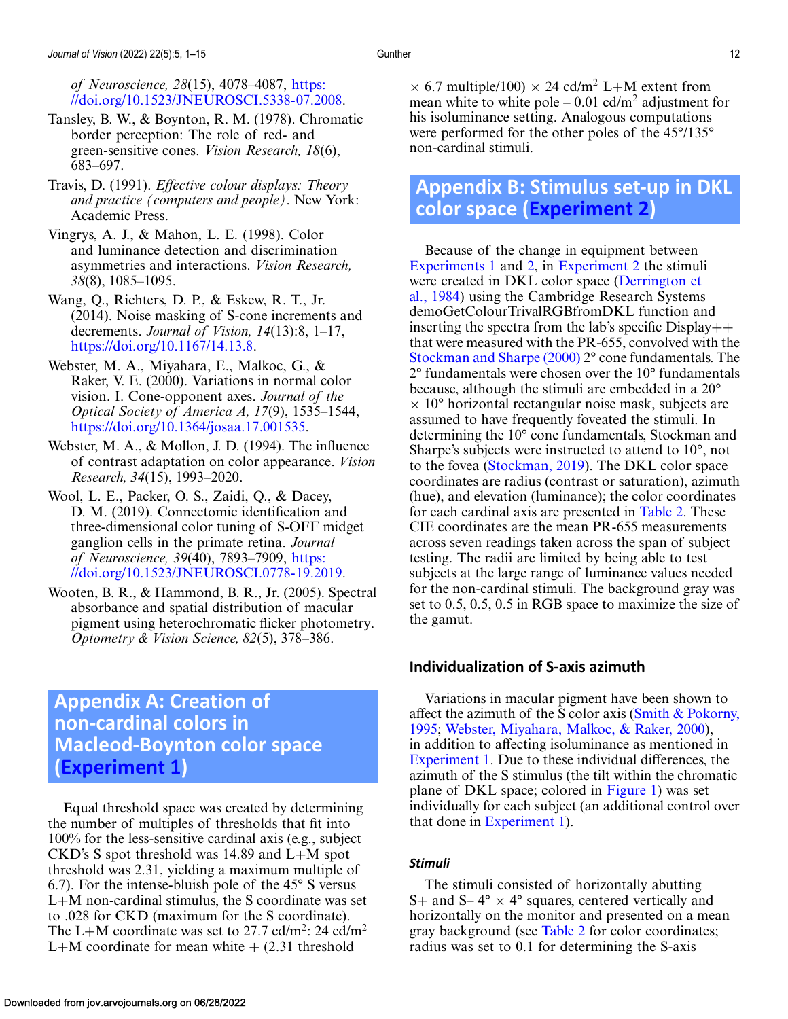<span id="page-11-0"></span>*of Neuroscience, 28*(15), 4078–4087, https: [//doi.org/10.1523/JNEUROSCI.5338-07.2008.](https://doi.org/10.1523/JNEUROSCI.5338-07.2008)

- Tansley, B. W., & Boynton, R. M. (1978). Chromatic border perception: The role of red- and green-sensitive cones. *Vision Research, 18*(6), 683–697.
- Travis, D. (1991). *Effective colour displays: Theory and practice (computers and people)*. New York: Academic Press.
- Vingrys, A. J., & Mahon, L. E. (1998). Color and luminance detection and discrimination asymmetries and interactions. *Vision Research, 38*(8), 1085–1095.
- Wang, Q., Richters, D. P., & Eskew, R. T., Jr. (2014). Noise masking of S-cone increments and decrements. *Journal of Vision, 14*(13):8, 1–17, [https://doi.org/10.1167/14.13.8.](https://doi.org/10.1167/14.13.8)
- Webster, M. A., Miyahara, E., Malkoc, G., & Raker, V. E. (2000). Variations in normal color vision. I. Cone-opponent axes. *Journal of the Optical Society of America A, 17*(9), 1535–1544, [https://doi.org/10.1364/josaa.17.001535.](https://doi.org/10.1364/josaa.17.001535)
- Webster, M. A., & Mollon, J. D. (1994). The influence of contrast adaptation on color appearance. *Vision Research, 34*(15), 1993–2020.
- Wool, L. E., Packer, O. S., Zaidi, Q., & Dacey, D. M. (2019). Connectomic identification and three-dimensional color tuning of S-OFF midget ganglion cells in the primate retina. *Journal of Neuroscience, 39*(40), 7893–7909, https: [//doi.org/10.1523/JNEUROSCI.0778-19.2019.](https://doi.org/10.1523/JNEUROSCI.0778-19.2019)
- Wooten, B. R., & Hammond, B. R., Jr. (2005). Spectral absorbance and spatial distribution of macular pigment using heterochromatic flicker photometry. *Optometry & Vision Science, 82*(5), 378–386.

# **Appendix A: Creation of non-cardinal colors in Macleod-Boynton color space [\(Experiment 1\)](#page-3-0)**

Equal threshold space was created by determining the number of multiples of thresholds that fit into 100% for the less-sensitive cardinal axis (e.g., subject CKD's S spot threshold was 14.89 and L+M spot threshold was 2.31, yielding a maximum multiple of 6.7). For the intense-bluish pole of the 45° S versus L+M non-cardinal stimulus, the S coordinate was set to .028 for CKD (maximum for the S coordinate). The L+M coordinate was set to 27.7 cd/m<sup>2</sup>: 24 cd/m<sup>2</sup> L+M coordinate for mean white  $+$  (2.31 threshold

 $\times$  6.7 multiple/100)  $\times$  24 cd/m<sup>2</sup> L+M extent from mean white to white pole  $-0.01$  cd/m<sup>2</sup> adjustment for his isoluminance setting. Analogous computations were performed for the other poles of the 45°/135° non-cardinal stimuli.

# **Appendix B: Stimulus set-up in DKL color space [\(Experiment 2\)](#page-5-0)**

Because of the change in equipment between [Experiments 1](#page-3-0) and [2,](#page-5-0) in [Experiment 2](#page-5-0) the stimuli were created in DKL color space (Derrington et [al., 1984\) using the Cambridge Research Systems](#page-9-0) demoGetColourTrivalRGBfromDKL function and inserting the spectra from the lab's specific  $Display++$ that were measured with the PR-655, convolved with the [Stockman and Sharpe \(2000\)](#page-10-0) 2° cone fundamentals. The 2° fundamentals were chosen over the 10° fundamentals because, although the stimuli are embedded in a 20°  $\times$  10 $\degree$  horizontal rectangular noise mask, subjects are assumed to have frequently foveated the stimuli. In determining the 10° cone fundamentals, Stockman and Sharpe's subjects were instructed to attend to 10°, not to the fovea [\(Stockman, 2019\)](#page-10-0). The DKL color space coordinates are radius (contrast or saturation), azimuth (hue), and elevation (luminance); the color coordinates for each cardinal axis are presented in [Table 2.](#page-12-0) These CIE coordinates are the mean PR-655 measurements across seven readings taken across the span of subject testing. The radii are limited by being able to test subjects at the large range of luminance values needed for the non-cardinal stimuli. The background gray was set to 0.5, 0.5, 0.5 in RGB space to maximize the size of the gamut.

# **Individualization of S-axis azimuth**

Variations in macular pigment have been shown to affect the azimuth of the S color axis (Smith  $&$  Pokorny, 1995; Webster, Miyahara, Malkoc, & Raker, 2000), in addition to affecting isoluminance as mentioned in [Experiment 1.](#page-3-0) Due to these individual differences, the azimuth of the S stimulus (the tilt within the chromatic plane of DKL space; colored in [Figure 1\)](#page-1-0) was set individually for each subject (an additional control over that done in [Experiment 1\)](#page-3-0).

#### *Stimuli*

The stimuli consisted of horizontally abutting S+ and S–  $4^{\circ} \times 4^{\circ}$  squares, centered vertically and horizontally on the monitor and presented on a mean gray background (see [Table 2](#page-12-0) for color coordinates; radius was set to 0.1 for determining the S-axis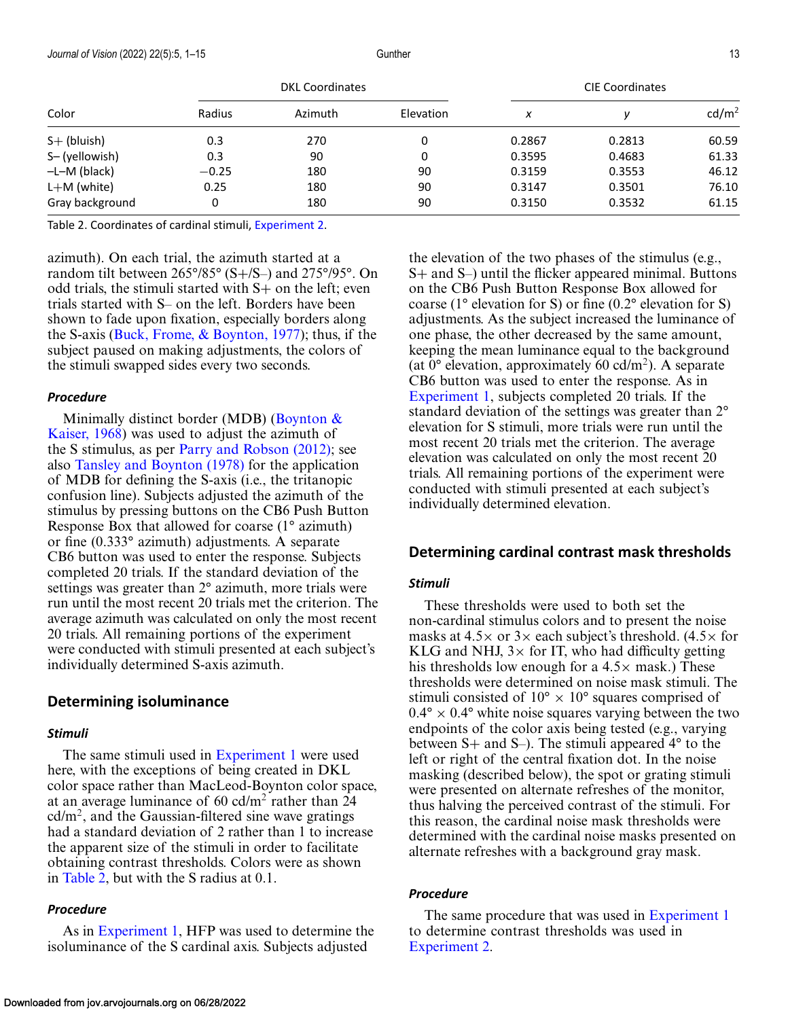<span id="page-12-0"></span>

| Color           | <b>DKL Coordinates</b> |         |           | <b>CIE Coordinates</b> |        |                   |
|-----------------|------------------------|---------|-----------|------------------------|--------|-------------------|
|                 | Radius                 | Azimuth | Elevation | x                      |        | cd/m <sup>2</sup> |
| $S+$ (bluish)   | 0.3                    | 270     | 0         | 0.2867                 | 0.2813 | 60.59             |
| S-(yellowish)   | 0.3                    | 90      | 0         | 0.3595                 | 0.4683 | 61.33             |
| $-L-M$ (black)  | $-0.25$                | 180     | 90        | 0.3159                 | 0.3553 | 46.12             |
| $L+M$ (white)   | 0.25                   | 180     | 90        | 0.3147                 | 0.3501 | 76.10             |
| Gray background | 0                      | 180     | 90        | 0.3150                 | 0.3532 | 61.15             |

Table 2. Coordinates of cardinal stimuli, [Experiment 2.](#page-5-0)

azimuth). On each trial, the azimuth started at a random tilt between 265°/85° (S+/S–) and 275°/95°. On odd trials, the stimuli started with S+ on the left; even trials started with S– on the left. Borders have been shown to fade upon fixation, especially borders along the S-axis (Buck, Frome,  $\&$  Boynton, 1977); thus, if the subject paused on making adjustments, the colors of the stimuli swapped sides every two seconds.

#### *Procedure*

Minimally distinct border (MDB) (Boynton  $\&$ [Kaiser, 1968\) was used to adjust the azimuth of](#page-9-0) the S stimulus, as per [Parry and Robson \(2012\);](#page-10-0) see also [Tansley and Boynton \(1978\)](#page-11-0) for the application of MDB for defining the S-axis (i.e., the tritanopic confusion line). Subjects adjusted the azimuth of the stimulus by pressing buttons on the CB6 Push Button Response Box that allowed for coarse (1° azimuth) or fine (0.333° azimuth) adjustments. A separate CB6 button was used to enter the response. Subjects completed 20 trials. If the standard deviation of the settings was greater than 2° azimuth, more trials were run until the most recent 20 trials met the criterion. The average azimuth was calculated on only the most recent 20 trials. All remaining portions of the experiment were conducted with stimuli presented at each subject's individually determined S-axis azimuth.

#### **Determining isoluminance**

#### *Stimuli*

The same stimuli used in [Experiment 1](#page-3-0) were used here, with the exceptions of being created in DKL color space rather than MacLeod-Boynton color space, at an average luminance of 60 cd/m<sup>2</sup> rather than 24  $cd/m<sup>2</sup>$ , and the Gaussian-filtered sine wave gratings had a standard deviation of 2 rather than 1 to increase the apparent size of the stimuli in order to facilitate obtaining contrast thresholds. Colors were as shown in Table 2, but with the S radius at 0.1.

#### *Procedure*

As in [Experiment 1,](#page-3-0) HFP was used to determine the isoluminance of the S cardinal axis. Subjects adjusted

the elevation of the two phases of the stimulus (e.g., S+ and S–) until the flicker appeared minimal. Buttons on the CB6 Push Button Response Box allowed for coarse ( $1^{\circ}$  elevation for S) or fine (0.2° elevation for S) adjustments. As the subject increased the luminance of one phase, the other decreased by the same amount, keeping the mean luminance equal to the background (at  $0^{\circ}$  elevation, approximately 60 cd/m<sup>2</sup>). A separate CB6 button was used to enter the response. As in [Experiment 1,](#page-3-0) subjects completed 20 trials. If the standard deviation of the settings was greater than 2° elevation for S stimuli, more trials were run until the most recent 20 trials met the criterion. The average elevation was calculated on only the most recent 20 trials. All remaining portions of the experiment were conducted with stimuli presented at each subject's individually determined elevation.

#### **Determining cardinal contrast mask thresholds**

#### *Stimuli*

These thresholds were used to both set the non-cardinal stimulus colors and to present the noise masks at  $4.5\times$  or  $3\times$  each subject's threshold. (4.5 $\times$  for KLG and NHJ,  $3\times$  for IT, who had difficulty getting his thresholds low enough for a  $4.5\times$  mask.) These thresholds were determined on noise mask stimuli. The stimuli consisted of  $10^{\circ} \times 10^{\circ}$  squares comprised of  $0.4^{\circ} \times 0.4^{\circ}$  white noise squares varying between the two endpoints of the color axis being tested (e.g., varying between S+ and S–). The stimuli appeared 4° to the left or right of the central fixation dot. In the noise masking (described below), the spot or grating stimuli were presented on alternate refreshes of the monitor, thus halving the perceived contrast of the stimuli. For this reason, the cardinal noise mask thresholds were determined with the cardinal noise masks presented on alternate refreshes with a background gray mask.

#### *Procedure*

The same procedure that was used in [Experiment 1](#page-3-0) to determine contrast thresholds was used in [Experiment 2.](#page-5-0)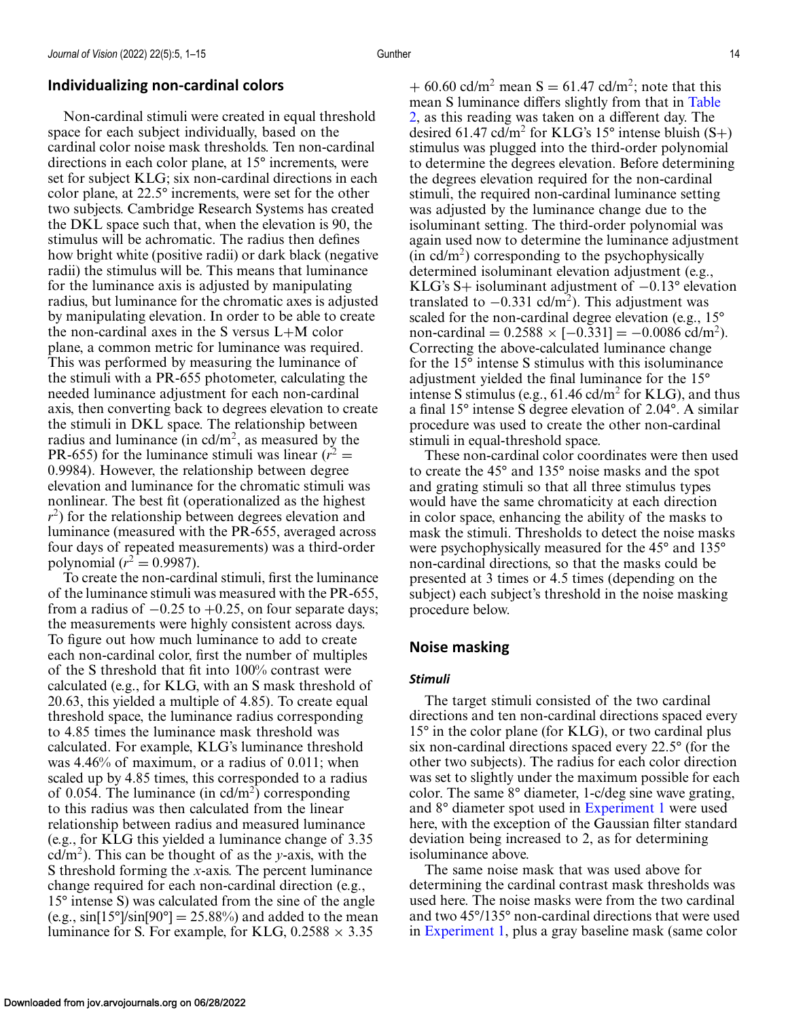# **Individualizing non-cardinal colors**

Non-cardinal stimuli were created in equal threshold space for each subject individually, based on the cardinal color noise mask thresholds. Ten non-cardinal directions in each color plane, at 15° increments, were set for subject KLG; six non-cardinal directions in each color plane, at 22.5° increments, were set for the other two subjects. Cambridge Research Systems has created the DKL space such that, when the elevation is 90, the stimulus will be achromatic. The radius then defines how bright white (positive radii) or dark black (negative radii) the stimulus will be. This means that luminance for the luminance axis is adjusted by manipulating radius, but luminance for the chromatic axes is adjusted by manipulating elevation. In order to be able to create the non-cardinal axes in the S versus L+M color plane, a common metric for luminance was required. This was performed by measuring the luminance of the stimuli with a PR-655 photometer, calculating the needed luminance adjustment for each non-cardinal axis, then converting back to degrees elevation to create the stimuli in DKL space. The relationship between radius and luminance (in  $\text{cd/m}^2$ , as measured by the PR-655) for the luminance stimuli was linear  $(r^2 =$ 0.9984). However, the relationship between degree elevation and luminance for the chromatic stimuli was nonlinear. The best fit (operationalized as the highest *r*<sup>2</sup>) for the relationship between degrees elevation and luminance (measured with the PR-655, averaged across four days of repeated measurements) was a third-order polynomial ( $r^2 = 0.9987$ ).

To create the non-cardinal stimuli, first the luminance of the luminance stimuli was measured with the PR-655, from a radius of  $-0.25$  to  $+0.25$ , on four separate days; the measurements were highly consistent across days. To figure out how much luminance to add to create each non-cardinal color, first the number of multiples of the S threshold that fit into 100% contrast were calculated (e.g., for KLG, with an S mask threshold of 20.63, this yielded a multiple of 4.85). To create equal threshold space, the luminance radius corresponding to 4.85 times the luminance mask threshold was calculated. For example, KLG's luminance threshold was 4.46% of maximum, or a radius of 0.011; when scaled up by 4.85 times, this corresponded to a radius of 0.054. The luminance (in  $\text{cd/m}^2$ ) corresponding to this radius was then calculated from the linear relationship between radius and measured luminance (e.g., for KLG this yielded a luminance change of 3.35 cd/m<sup>2</sup>). This can be thought of as the *y*-axis, with the S threshold forming the *x*-axis. The percent luminance change required for each non-cardinal direction (e.g., 15° intense S) was calculated from the sine of the angle (e.g.,  $\sin[15^\circ]\sin[90^\circ] = 25.88\%$ ) and added to the mean luminance for S. For example, for KLG,  $0.2588 \times 3.35$ 

+ 60.60 cd/m<sup>2</sup> mean S = 61.47 cd/m<sup>2</sup>; note that this mean S luminance differs slightly from that in Table [2, as this reading was taken on a different day. The](#page-12-0) desired 61.47 cd/m<sup>2</sup> for KLG's 15° intense bluish  $(S+)$ stimulus was plugged into the third-order polynomial to determine the degrees elevation. Before determining the degrees elevation required for the non-cardinal stimuli, the required non-cardinal luminance setting was adjusted by the luminance change due to the isoluminant setting. The third-order polynomial was again used now to determine the luminance adjustment  $(in \text{ }cd/m^2)$  corresponding to the psychophysically determined isoluminant elevation adjustment (e.g., KLG's S+ isoluminant adjustment of −0.13° elevation translated to  $-0.331$  cd/m<sup>2</sup>). This adjustment was scaled for the non-cardinal degree elevation (e.g., 15° non-cardinal =  $0.2588 \times [-0.331] = -0.0086$  cd/m<sup>2</sup>). Correcting the above-calculated luminance change for the 15° intense S stimulus with this isoluminance adjustment yielded the final luminance for the 15° intense S stimulus (e.g.,  $61.46$  cd/m<sup>2</sup> for KLG), and thus a final 15° intense S degree elevation of 2.04°. A similar procedure was used to create the other non-cardinal stimuli in equal-threshold space.

These non-cardinal color coordinates were then used to create the 45° and 135° noise masks and the spot and grating stimuli so that all three stimulus types would have the same chromaticity at each direction in color space, enhancing the ability of the masks to mask the stimuli. Thresholds to detect the noise masks were psychophysically measured for the 45° and 135° non-cardinal directions, so that the masks could be presented at 3 times or 4.5 times (depending on the subject) each subject's threshold in the noise masking procedure below.

# **Noise masking**

#### *Stimuli*

The target stimuli consisted of the two cardinal directions and ten non-cardinal directions spaced every 15° in the color plane (for KLG), or two cardinal plus six non-cardinal directions spaced every 22.5° (for the other two subjects). The radius for each color direction was set to slightly under the maximum possible for each color. The same 8° diameter, 1-c/deg sine wave grating, and 8° diameter spot used in [Experiment 1](#page-3-0) were used here, with the exception of the Gaussian filter standard deviation being increased to 2, as for determining isoluminance above.

The same noise mask that was used above for determining the cardinal contrast mask thresholds was used here. The noise masks were from the two cardinal and two 45°/135° non-cardinal directions that were used in [Experiment 1,](#page-3-0) plus a gray baseline mask (same color